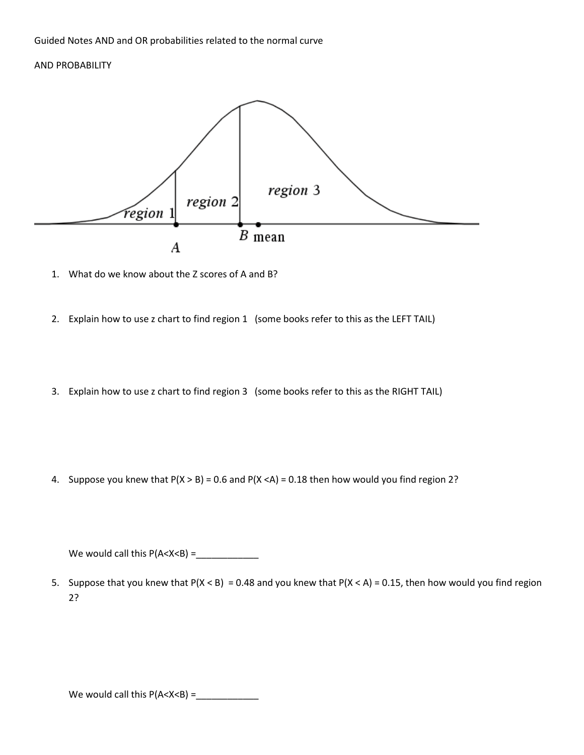## AND PROBABILITY



- 1. What do we know about the Z scores of A and B?
- 2. Explain how to use z chart to find region 1 (some books refer to this as the LEFT TAIL)
- 3. Explain how to use z chart to find region 3 (some books refer to this as the RIGHT TAIL)

4. Suppose you knew that  $P(X > B) = 0.6$  and  $P(X < A) = 0.18$  then how would you find region 2?

We would call this P(A<X<B) =\_\_\_\_\_\_\_\_\_\_\_\_

5. Suppose that you knew that  $P(X < B) = 0.48$  and you knew that  $P(X < A) = 0.15$ , then how would you find region 2?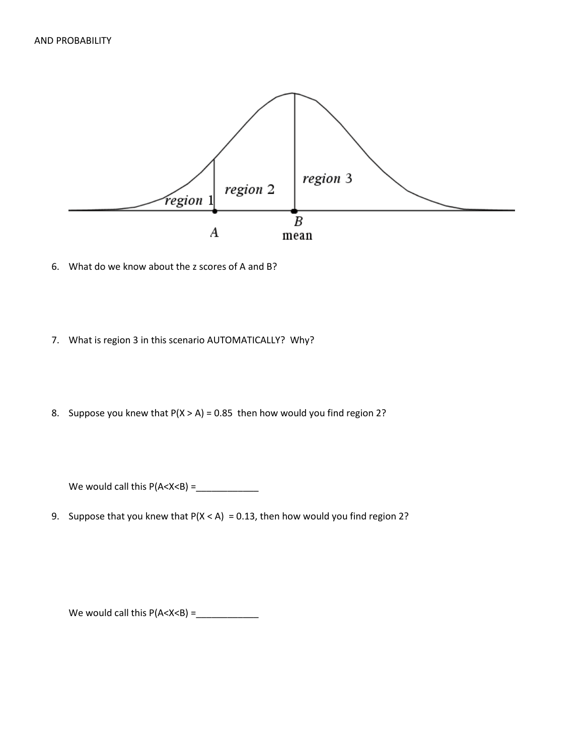

- 6. What do we know about the z scores of A and B?
- 7. What is region 3 in this scenario AUTOMATICALLY? Why?
- 8. Suppose you knew that  $P(X > A) = 0.85$  then how would you find region 2?

We would call this P(A<X<B) =\_\_\_\_\_\_\_\_\_\_\_\_

9. Suppose that you knew that  $P(X < A) = 0.13$ , then how would you find region 2?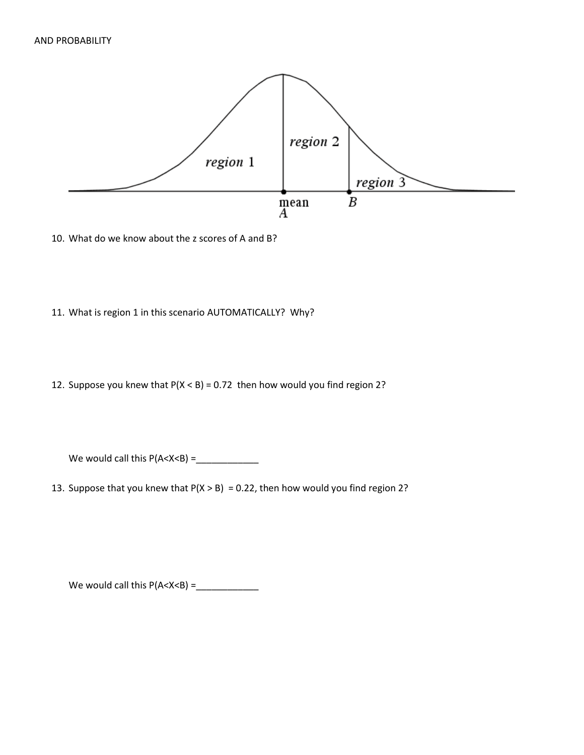

10. What do we know about the z scores of A and B?

- 11. What is region 1 in this scenario AUTOMATICALLY? Why?
- 12. Suppose you knew that  $P(X < B) = 0.72$  then how would you find region 2?

We would call this P(A<X<B) =\_\_\_\_\_\_\_\_\_\_\_\_

13. Suppose that you knew that  $P(X > B) = 0.22$ , then how would you find region 2?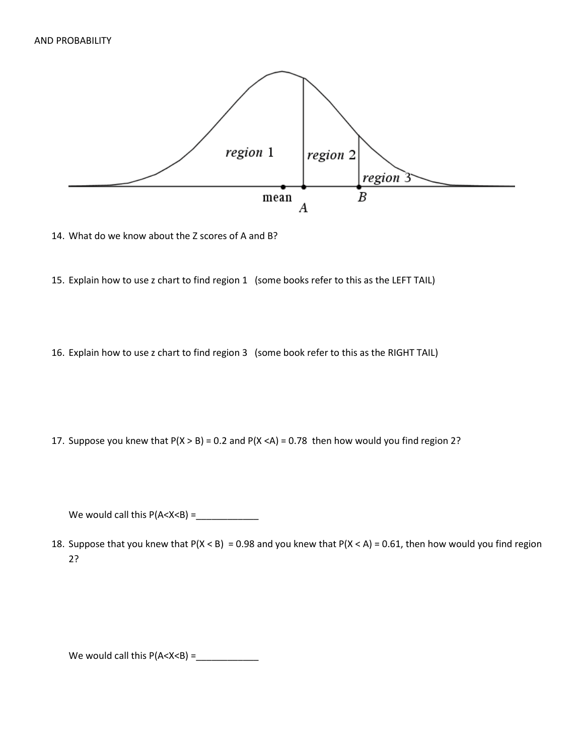

14. What do we know about the Z scores of A and B?

15. Explain how to use z chart to find region 1 (some books refer to this as the LEFT TAIL)

16. Explain how to use z chart to find region 3 (some book refer to this as the RIGHT TAIL)

17. Suppose you knew that  $P(X > B) = 0.2$  and  $P(X < A) = 0.78$  then how would you find region 2?

We would call this P(A<X<B) =\_\_\_\_\_\_\_\_\_\_\_\_

18. Suppose that you knew that  $P(X < B) = 0.98$  and you knew that  $P(X < A) = 0.61$ , then how would you find region 2?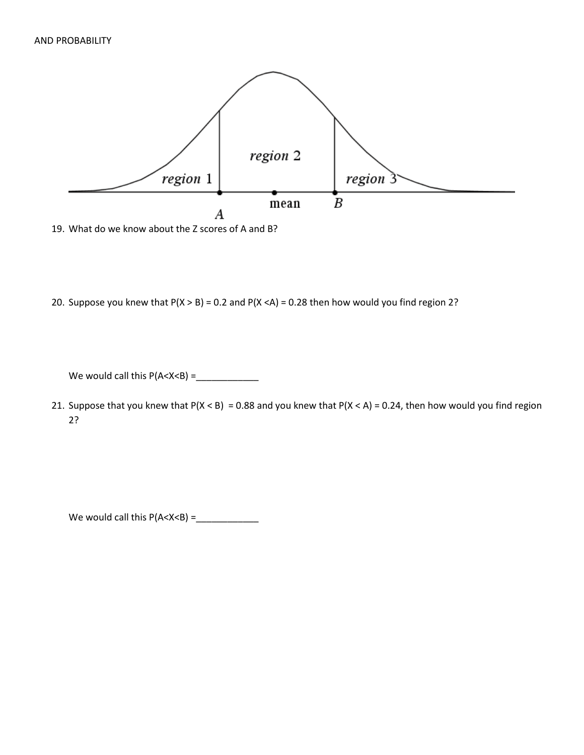

- 19. What do we know about the Z scores of A and B?
- 20. Suppose you knew that  $P(X > B) = 0.2$  and  $P(X < A) = 0.28$  then how would you find region 2?

We would call this P(A<X<B) =\_\_\_\_\_\_\_\_\_\_\_\_

21. Suppose that you knew that  $P(X < B) = 0.88$  and you knew that  $P(X < A) = 0.24$ , then how would you find region 2?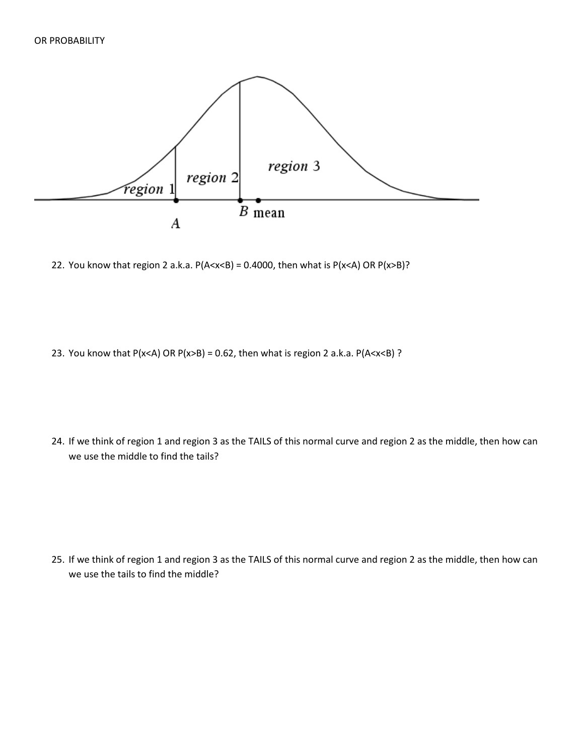

22. You know that region 2 a.k.a.  $P(A < x < B) = 0.4000$ , then what is  $P(x < A)$  OR  $P(x > B)$ ?

23. You know that P(x<A) OR P(x>B) = 0.62, then what is region 2 a.k.a. P(A<x<B) ?

24. If we think of region 1 and region 3 as the TAILS of this normal curve and region 2 as the middle, then how can we use the middle to find the tails?

25. If we think of region 1 and region 3 as the TAILS of this normal curve and region 2 as the middle, then how can we use the tails to find the middle?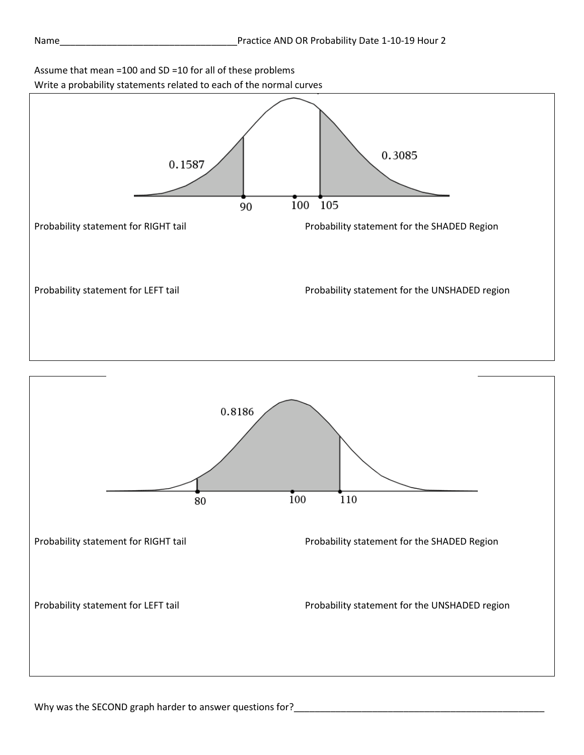## Assume that mean =100 and SD =10 for all of these problems